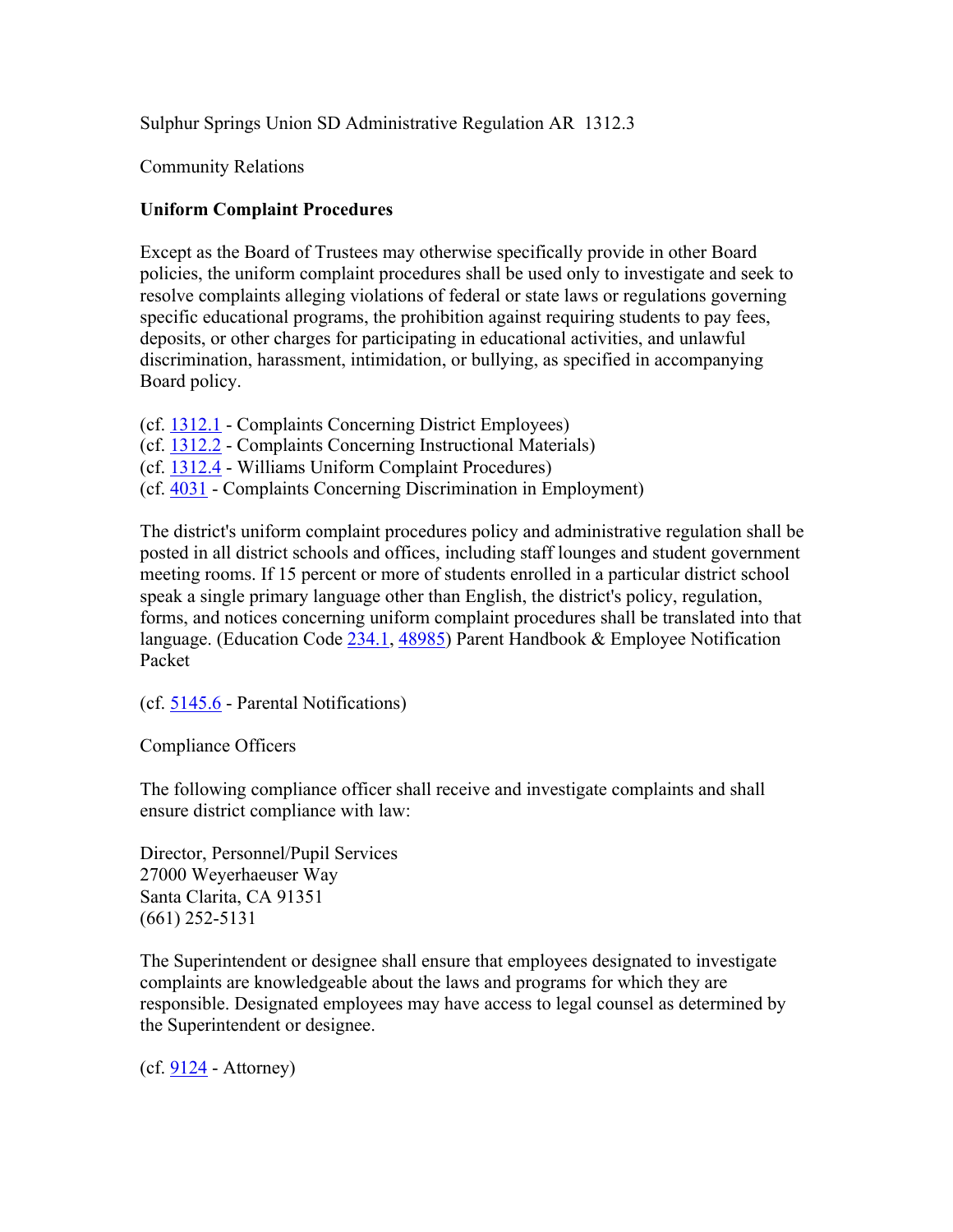Sulphur Springs Union SD Administrative Regulation AR 1312.3

Community Relations

## **Uniform Complaint Procedures**

Except as the Board of Trustees may otherwise specifically provide in other Board policies, the uniform complaint procedures shall be used only to investigate and seek to resolve complaints alleging violations of federal or state laws or regulations governing specific educational programs, the prohibition against requiring students to pay fees, deposits, or other charges for participating in educational activities, and unlawful discrimination, harassment, intimidation, or bullying, as specified in accompanying Board policy.

- (cf. 1312.1 Complaints Concerning District Employees)
- (cf. 1312.2 Complaints Concerning Instructional Materials)
- (cf. 1312.4 Williams Uniform Complaint Procedures)
- (cf. 4031 Complaints Concerning Discrimination in Employment)

The district's uniform complaint procedures policy and administrative regulation shall be posted in all district schools and offices, including staff lounges and student government meeting rooms. If 15 percent or more of students enrolled in a particular district school speak a single primary language other than English, the district's policy, regulation, forms, and notices concerning uniform complaint procedures shall be translated into that language. (Education Code 234.1, 48985) Parent Handbook & Employee Notification Packet

(cf. 5145.6 - Parental Notifications)

Compliance Officers

The following compliance officer shall receive and investigate complaints and shall ensure district compliance with law:

Director, Personnel/Pupil Services 27000 Weyerhaeuser Way Santa Clarita, CA 91351 (661) 252-5131

The Superintendent or designee shall ensure that employees designated to investigate complaints are knowledgeable about the laws and programs for which they are responsible. Designated employees may have access to legal counsel as determined by the Superintendent or designee.

 $(cf. 9124 - Attorney)$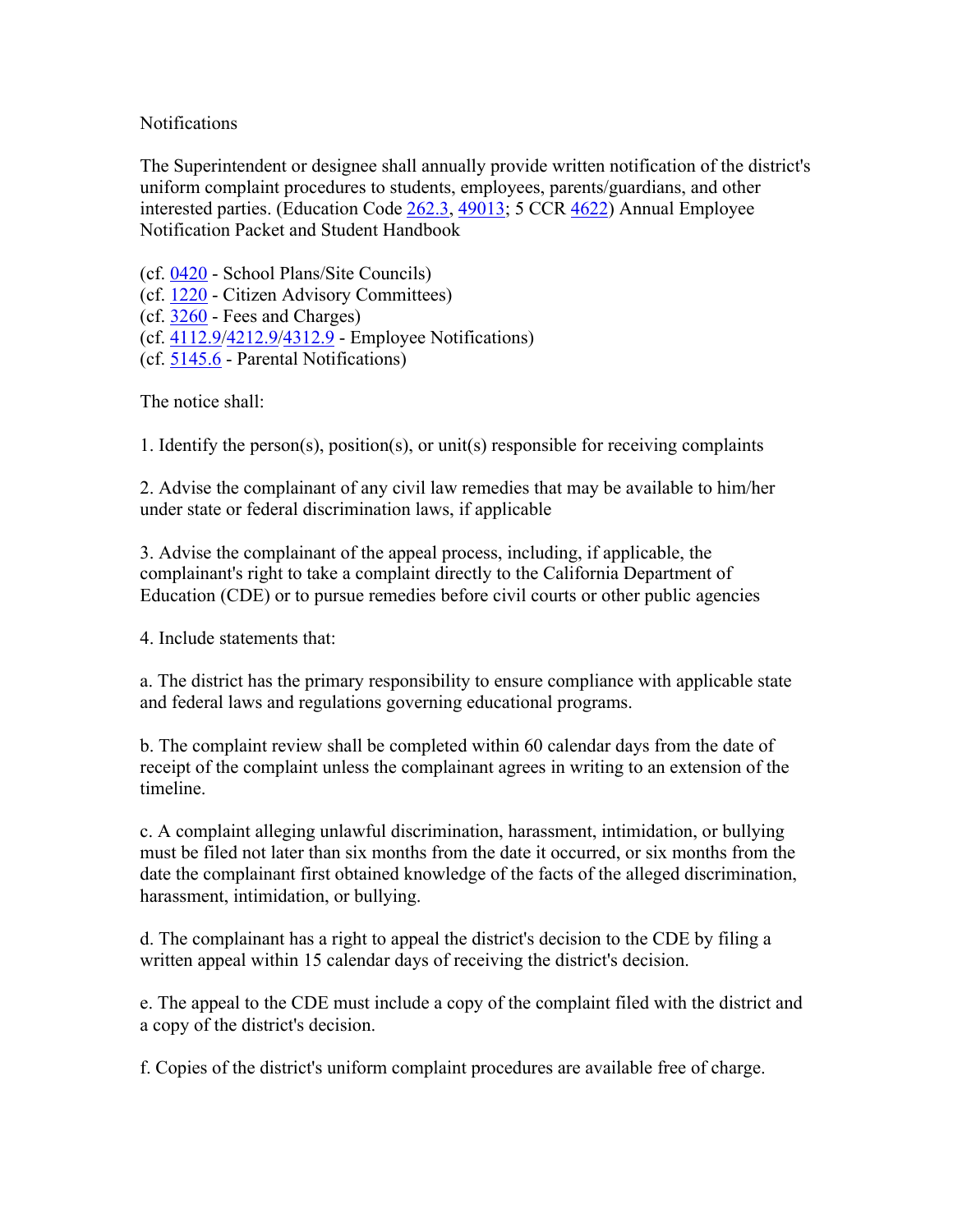## **Notifications**

The Superintendent or designee shall annually provide written notification of the district's uniform complaint procedures to students, employees, parents/guardians, and other interested parties. (Education Code 262.3, 49013; 5 CCR 4622) Annual Employee Notification Packet and Student Handbook

(cf. 0420 - School Plans/Site Councils) (cf. 1220 - Citizen Advisory Committees) (cf. 3260 - Fees and Charges) (cf. 4112.9/4212.9/4312.9 - Employee Notifications) (cf. 5145.6 - Parental Notifications)

The notice shall:

1. Identify the person(s), position(s), or unit(s) responsible for receiving complaints

2. Advise the complainant of any civil law remedies that may be available to him/her under state or federal discrimination laws, if applicable

3. Advise the complainant of the appeal process, including, if applicable, the complainant's right to take a complaint directly to the California Department of Education (CDE) or to pursue remedies before civil courts or other public agencies

4. Include statements that:

a. The district has the primary responsibility to ensure compliance with applicable state and federal laws and regulations governing educational programs.

b. The complaint review shall be completed within 60 calendar days from the date of receipt of the complaint unless the complainant agrees in writing to an extension of the timeline.

c. A complaint alleging unlawful discrimination, harassment, intimidation, or bullying must be filed not later than six months from the date it occurred, or six months from the date the complainant first obtained knowledge of the facts of the alleged discrimination, harassment, intimidation, or bullying.

d. The complainant has a right to appeal the district's decision to the CDE by filing a written appeal within 15 calendar days of receiving the district's decision.

e. The appeal to the CDE must include a copy of the complaint filed with the district and a copy of the district's decision.

f. Copies of the district's uniform complaint procedures are available free of charge.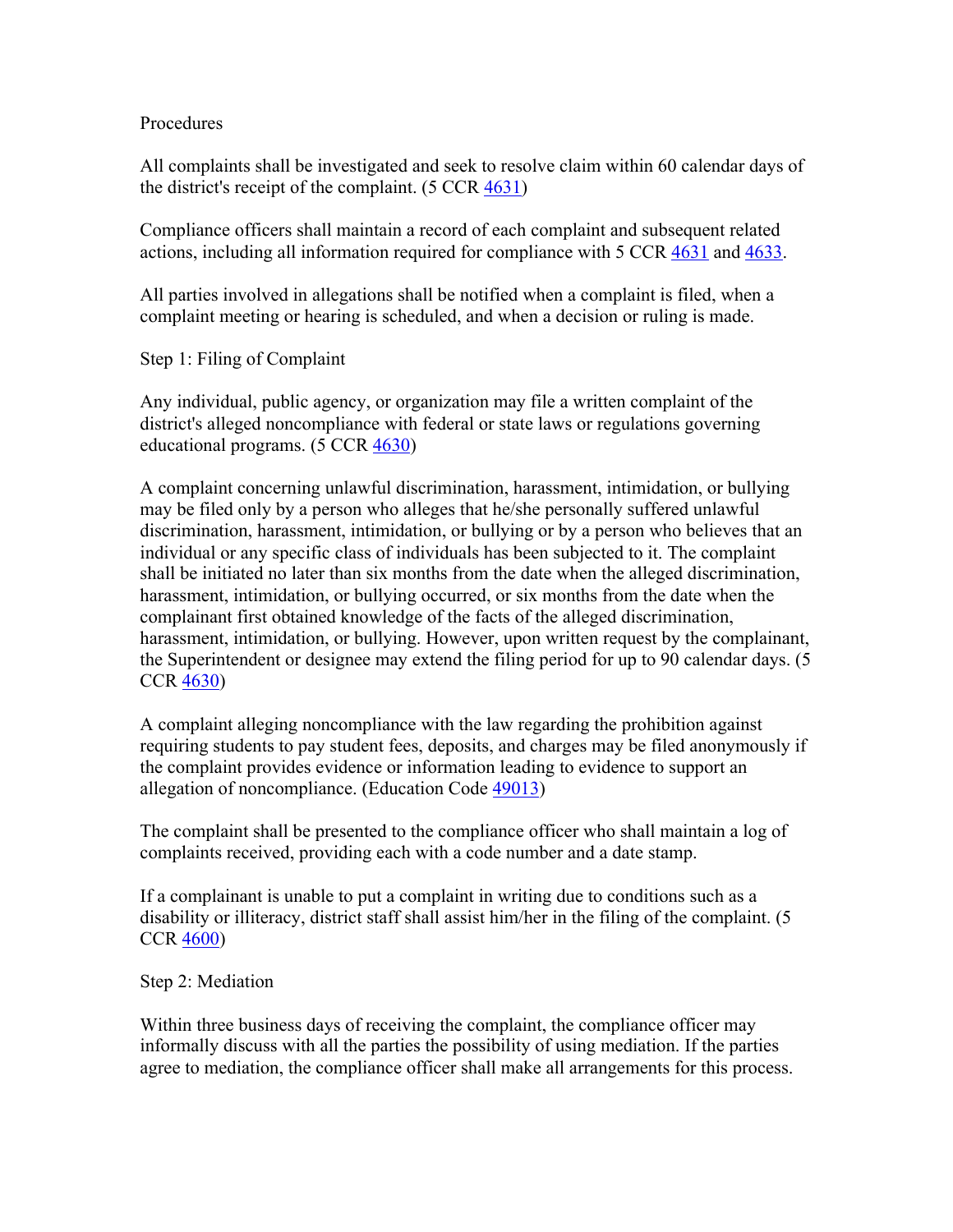## Procedures

All complaints shall be investigated and seek to resolve claim within 60 calendar days of the district's receipt of the complaint.  $(5 CCR 4631)$ 

Compliance officers shall maintain a record of each complaint and subsequent related actions, including all information required for compliance with 5 CCR 4631 and 4633.

All parties involved in allegations shall be notified when a complaint is filed, when a complaint meeting or hearing is scheduled, and when a decision or ruling is made.

Step 1: Filing of Complaint

Any individual, public agency, or organization may file a written complaint of the district's alleged noncompliance with federal or state laws or regulations governing educational programs. (5 CCR 4630)

A complaint concerning unlawful discrimination, harassment, intimidation, or bullying may be filed only by a person who alleges that he/she personally suffered unlawful discrimination, harassment, intimidation, or bullying or by a person who believes that an individual or any specific class of individuals has been subjected to it. The complaint shall be initiated no later than six months from the date when the alleged discrimination, harassment, intimidation, or bullying occurred, or six months from the date when the complainant first obtained knowledge of the facts of the alleged discrimination, harassment, intimidation, or bullying. However, upon written request by the complainant, the Superintendent or designee may extend the filing period for up to 90 calendar days. (5 CCR 4630)

A complaint alleging noncompliance with the law regarding the prohibition against requiring students to pay student fees, deposits, and charges may be filed anonymously if the complaint provides evidence or information leading to evidence to support an allegation of noncompliance. (Education Code 49013)

The complaint shall be presented to the compliance officer who shall maintain a log of complaints received, providing each with a code number and a date stamp.

If a complainant is unable to put a complaint in writing due to conditions such as a disability or illiteracy, district staff shall assist him/her in the filing of the complaint. (5 CCR 4600)

Step 2: Mediation

Within three business days of receiving the complaint, the compliance officer may informally discuss with all the parties the possibility of using mediation. If the parties agree to mediation, the compliance officer shall make all arrangements for this process.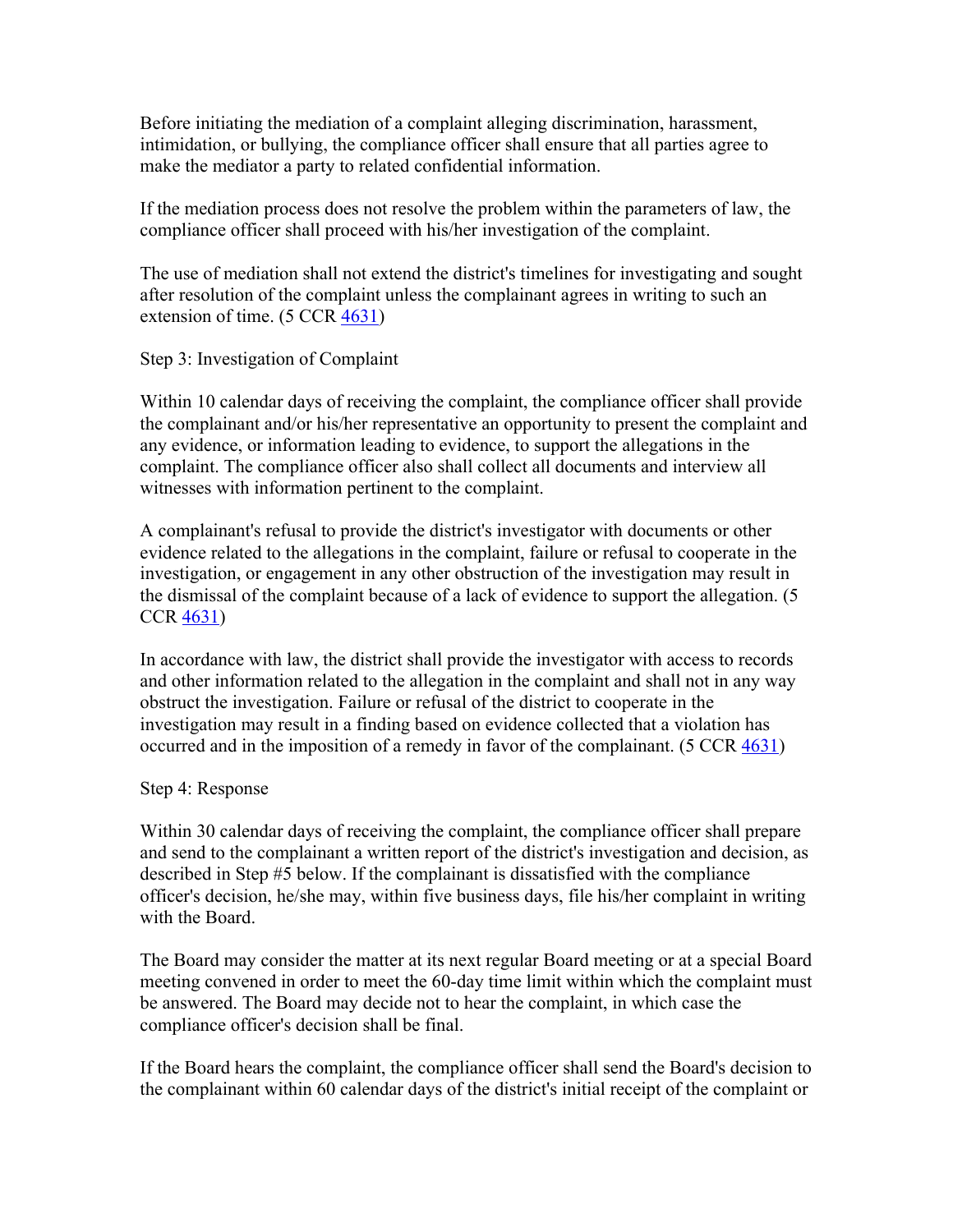Before initiating the mediation of a complaint alleging discrimination, harassment, intimidation, or bullying, the compliance officer shall ensure that all parties agree to make the mediator a party to related confidential information.

If the mediation process does not resolve the problem within the parameters of law, the compliance officer shall proceed with his/her investigation of the complaint.

The use of mediation shall not extend the district's timelines for investigating and sought after resolution of the complaint unless the complainant agrees in writing to such an extension of time.  $(5 \text{ CCR } \frac{4631}{100})$ 

Step 3: Investigation of Complaint

Within 10 calendar days of receiving the complaint, the compliance officer shall provide the complainant and/or his/her representative an opportunity to present the complaint and any evidence, or information leading to evidence, to support the allegations in the complaint. The compliance officer also shall collect all documents and interview all witnesses with information pertinent to the complaint.

A complainant's refusal to provide the district's investigator with documents or other evidence related to the allegations in the complaint, failure or refusal to cooperate in the investigation, or engagement in any other obstruction of the investigation may result in the dismissal of the complaint because of a lack of evidence to support the allegation. (5 CCR 4631)

In accordance with law, the district shall provide the investigator with access to records and other information related to the allegation in the complaint and shall not in any way obstruct the investigation. Failure or refusal of the district to cooperate in the investigation may result in a finding based on evidence collected that a violation has occurred and in the imposition of a remedy in favor of the complainant. (5 CCR 4631)

## Step 4: Response

Within 30 calendar days of receiving the complaint, the compliance officer shall prepare and send to the complainant a written report of the district's investigation and decision, as described in Step #5 below. If the complainant is dissatisfied with the compliance officer's decision, he/she may, within five business days, file his/her complaint in writing with the Board.

The Board may consider the matter at its next regular Board meeting or at a special Board meeting convened in order to meet the 60-day time limit within which the complaint must be answered. The Board may decide not to hear the complaint, in which case the compliance officer's decision shall be final.

If the Board hears the complaint, the compliance officer shall send the Board's decision to the complainant within 60 calendar days of the district's initial receipt of the complaint or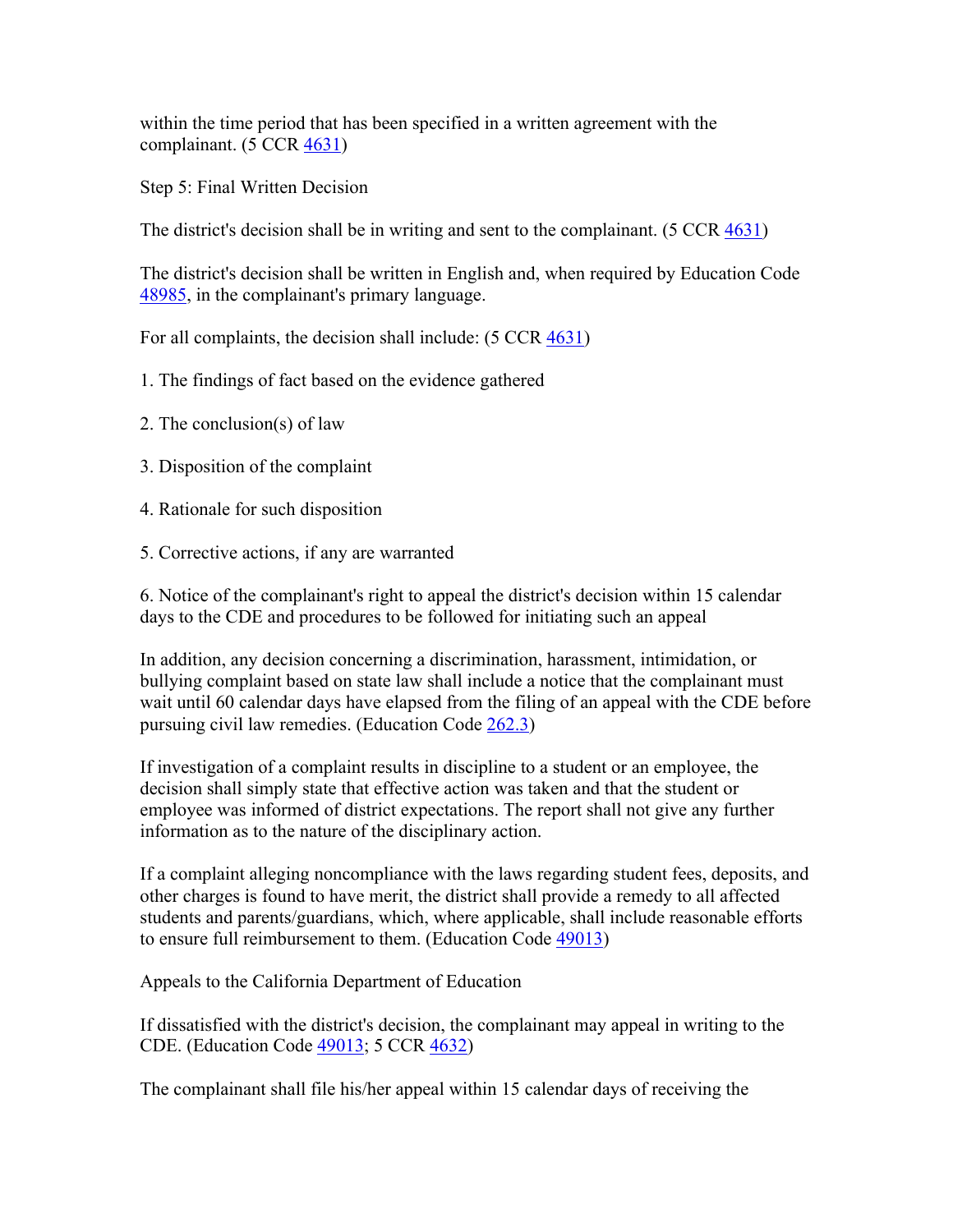within the time period that has been specified in a written agreement with the complainant.  $(5 CCR 4631)$ 

Step 5: Final Written Decision

The district's decision shall be in writing and sent to the complainant. (5 CCR 4631)

The district's decision shall be written in English and, when required by Education Code 48985, in the complainant's primary language.

For all complaints, the decision shall include: (5 CCR 4631)

- 1. The findings of fact based on the evidence gathered
- 2. The conclusion(s) of law
- 3. Disposition of the complaint
- 4. Rationale for such disposition
- 5. Corrective actions, if any are warranted

6. Notice of the complainant's right to appeal the district's decision within 15 calendar days to the CDE and procedures to be followed for initiating such an appeal

In addition, any decision concerning a discrimination, harassment, intimidation, or bullying complaint based on state law shall include a notice that the complainant must wait until 60 calendar days have elapsed from the filing of an appeal with the CDE before pursuing civil law remedies. (Education Code 262.3)

If investigation of a complaint results in discipline to a student or an employee, the decision shall simply state that effective action was taken and that the student or employee was informed of district expectations. The report shall not give any further information as to the nature of the disciplinary action.

If a complaint alleging noncompliance with the laws regarding student fees, deposits, and other charges is found to have merit, the district shall provide a remedy to all affected students and parents/guardians, which, where applicable, shall include reasonable efforts to ensure full reimbursement to them. (Education Code 49013)

Appeals to the California Department of Education

If dissatisfied with the district's decision, the complainant may appeal in writing to the CDE. (Education Code 49013; 5 CCR 4632)

The complainant shall file his/her appeal within 15 calendar days of receiving the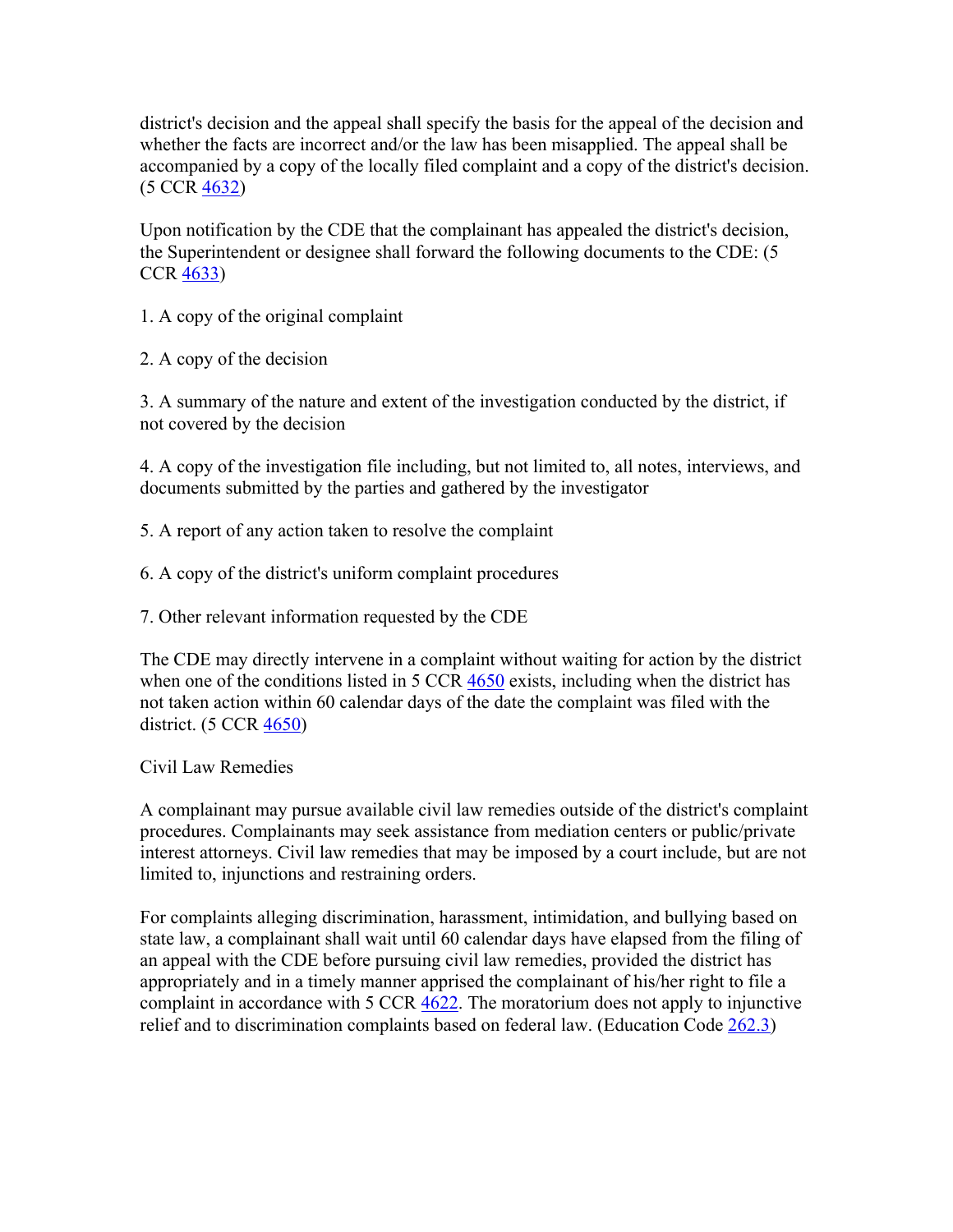district's decision and the appeal shall specify the basis for the appeal of the decision and whether the facts are incorrect and/or the law has been misapplied. The appeal shall be accompanied by a copy of the locally filed complaint and a copy of the district's decision. (5 CCR 4632)

Upon notification by the CDE that the complainant has appealed the district's decision, the Superintendent or designee shall forward the following documents to the CDE: (5 CCR 4633)

1. A copy of the original complaint

2. A copy of the decision

3. A summary of the nature and extent of the investigation conducted by the district, if not covered by the decision

4. A copy of the investigation file including, but not limited to, all notes, interviews, and documents submitted by the parties and gathered by the investigator

5. A report of any action taken to resolve the complaint

6. A copy of the district's uniform complaint procedures

7. Other relevant information requested by the CDE

The CDE may directly intervene in a complaint without waiting for action by the district when one of the conditions listed in 5 CCR 4650 exists, including when the district has not taken action within 60 calendar days of the date the complaint was filed with the district. (5 CCR 4650)

Civil Law Remedies

A complainant may pursue available civil law remedies outside of the district's complaint procedures. Complainants may seek assistance from mediation centers or public/private interest attorneys. Civil law remedies that may be imposed by a court include, but are not limited to, injunctions and restraining orders.

For complaints alleging discrimination, harassment, intimidation, and bullying based on state law, a complainant shall wait until 60 calendar days have elapsed from the filing of an appeal with the CDE before pursuing civil law remedies, provided the district has appropriately and in a timely manner apprised the complainant of his/her right to file a complaint in accordance with 5 CCR 4622. The moratorium does not apply to injunctive relief and to discrimination complaints based on federal law. (Education Code 262.3)